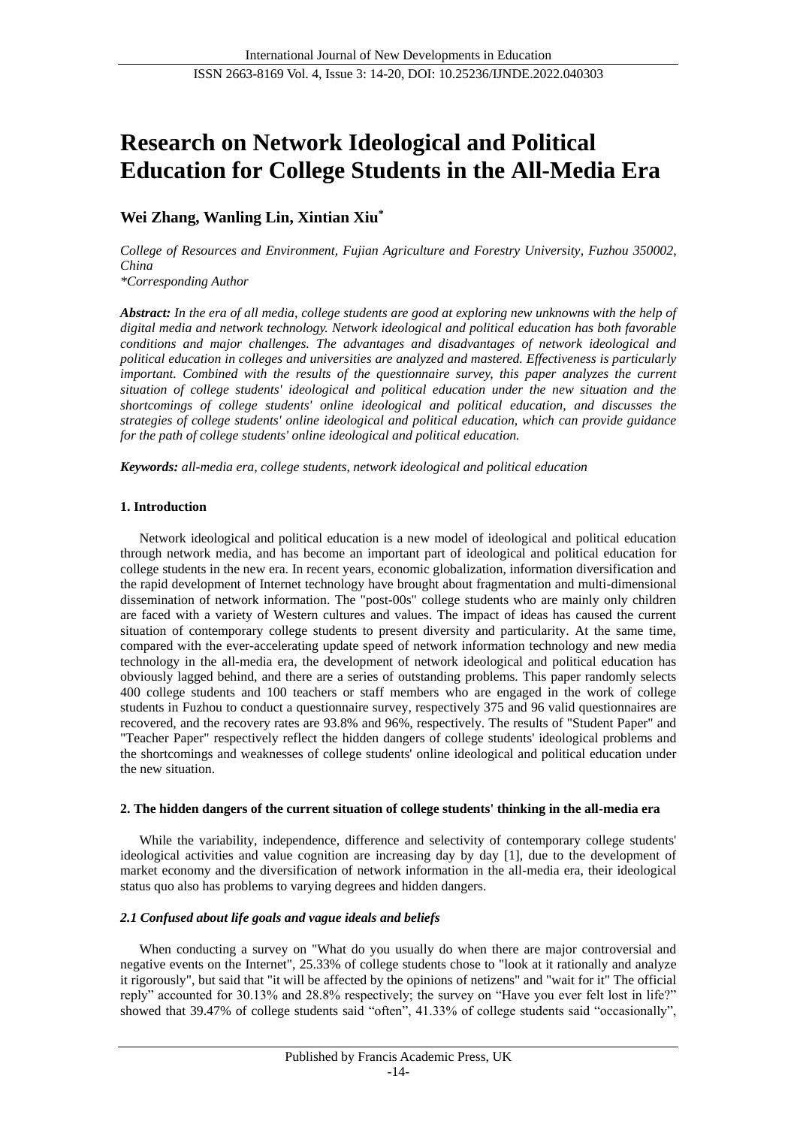# **Research on Network Ideological and Political Education for College Students in the All-Media Era**

# **Wei Zhang, Wanling Lin, Xintian Xiu\***

*College of Resources and Environment, Fujian Agriculture and Forestry University, Fuzhou 350002, China*

*\*Corresponding Author*

*Abstract: In the era of all media, college students are good at exploring new unknowns with the help of digital media and network technology. Network ideological and political education has both favorable conditions and major challenges. The advantages and disadvantages of network ideological and political education in colleges and universities are analyzed and mastered. Effectiveness is particularly important. Combined with the results of the questionnaire survey, this paper analyzes the current situation of college students' ideological and political education under the new situation and the shortcomings of college students' online ideological and political education, and discusses the strategies of college students' online ideological and political education, which can provide guidance for the path of college students' online ideological and political education.*

*Keywords: all-media era, college students, network ideological and political education*

# **1. Introduction**

Network ideological and political education is a new model of ideological and political education through network media, and has become an important part of ideological and political education for college students in the new era. In recent years, economic globalization, information diversification and the rapid development of Internet technology have brought about fragmentation and multi-dimensional dissemination of network information. The "post-00s" college students who are mainly only children are faced with a variety of Western cultures and values. The impact of ideas has caused the current situation of contemporary college students to present diversity and particularity. At the same time, compared with the ever-accelerating update speed of network information technology and new media technology in the all-media era, the development of network ideological and political education has obviously lagged behind, and there are a series of outstanding problems. This paper randomly selects 400 college students and 100 teachers or staff members who are engaged in the work of college students in Fuzhou to conduct a questionnaire survey, respectively 375 and 96 valid questionnaires are recovered, and the recovery rates are 93.8% and 96%, respectively. The results of "Student Paper" and "Teacher Paper" respectively reflect the hidden dangers of college students' ideological problems and the shortcomings and weaknesses of college students' online ideological and political education under the new situation.

## **2. The hidden dangers of the current situation of college students' thinking in the all-media era**

While the variability, independence, difference and selectivity of contemporary college students' ideological activities and value cognition are increasing day by day [1], due to the development of market economy and the diversification of network information in the all-media era, their ideological status quo also has problems to varying degrees and hidden dangers.

# *2.1 Confused about life goals and vague ideals and beliefs*

When conducting a survey on "What do you usually do when there are major controversial and negative events on the Internet", 25.33% of college students chose to "look at it rationally and analyze it rigorously", but said that "it will be affected by the opinions of netizens" and "wait for it" The official reply" accounted for 30.13% and 28.8% respectively; the survey on "Have you ever felt lost in life?" showed that 39.47% of college students said "often", 41.33% of college students said "occasionally",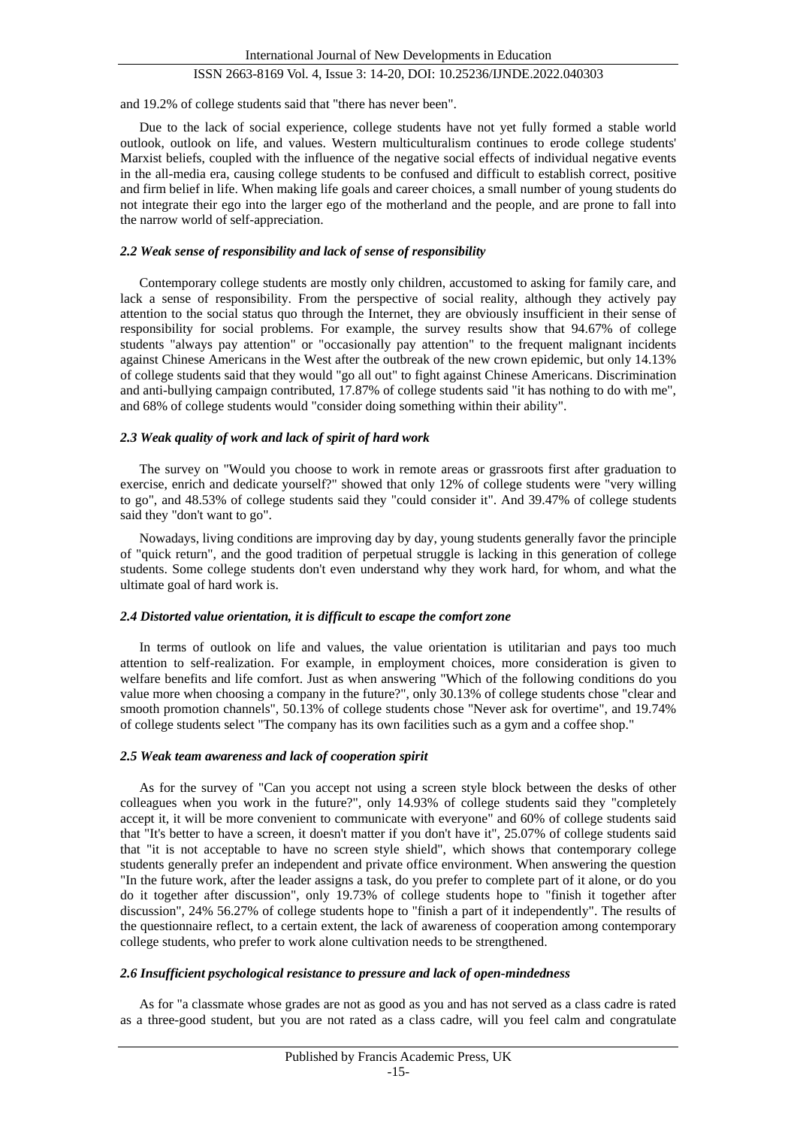and 19.2% of college students said that "there has never been".

Due to the lack of social experience, college students have not yet fully formed a stable world outlook, outlook on life, and values. Western multiculturalism continues to erode college students' Marxist beliefs, coupled with the influence of the negative social effects of individual negative events in the all-media era, causing college students to be confused and difficult to establish correct, positive and firm belief in life. When making life goals and career choices, a small number of young students do not integrate their ego into the larger ego of the motherland and the people, and are prone to fall into the narrow world of self-appreciation.

#### *2.2 Weak sense of responsibility and lack of sense of responsibility*

Contemporary college students are mostly only children, accustomed to asking for family care, and lack a sense of responsibility. From the perspective of social reality, although they actively pay attention to the social status quo through the Internet, they are obviously insufficient in their sense of responsibility for social problems. For example, the survey results show that 94.67% of college students "always pay attention" or "occasionally pay attention" to the frequent malignant incidents against Chinese Americans in the West after the outbreak of the new crown epidemic, but only 14.13% of college students said that they would "go all out" to fight against Chinese Americans. Discrimination and anti-bullying campaign contributed, 17.87% of college students said "it has nothing to do with me", and 68% of college students would "consider doing something within their ability".

#### *2.3 Weak quality of work and lack of spirit of hard work*

The survey on "Would you choose to work in remote areas or grassroots first after graduation to exercise, enrich and dedicate yourself?" showed that only 12% of college students were "very willing to go", and 48.53% of college students said they "could consider it". And 39.47% of college students said they "don't want to go".

Nowadays, living conditions are improving day by day, young students generally favor the principle of "quick return", and the good tradition of perpetual struggle is lacking in this generation of college students. Some college students don't even understand why they work hard, for whom, and what the ultimate goal of hard work is.

#### *2.4 Distorted value orientation, it is difficult to escape the comfort zone*

In terms of outlook on life and values, the value orientation is utilitarian and pays too much attention to self-realization. For example, in employment choices, more consideration is given to welfare benefits and life comfort. Just as when answering "Which of the following conditions do you value more when choosing a company in the future?", only 30.13% of college students chose "clear and smooth promotion channels", 50.13% of college students chose "Never ask for overtime", and 19.74% of college students select "The company has its own facilities such as a gym and a coffee shop."

#### *2.5 Weak team awareness and lack of cooperation spirit*

As for the survey of "Can you accept not using a screen style block between the desks of other colleagues when you work in the future?", only 14.93% of college students said they "completely accept it, it will be more convenient to communicate with everyone" and 60% of college students said that "It's better to have a screen, it doesn't matter if you don't have it", 25.07% of college students said that "it is not acceptable to have no screen style shield", which shows that contemporary college students generally prefer an independent and private office environment. When answering the question "In the future work, after the leader assigns a task, do you prefer to complete part of it alone, or do you do it together after discussion", only 19.73% of college students hope to "finish it together after discussion", 24% 56.27% of college students hope to "finish a part of it independently". The results of the questionnaire reflect, to a certain extent, the lack of awareness of cooperation among contemporary college students, who prefer to work alone cultivation needs to be strengthened.

#### *2.6 Insufficient psychological resistance to pressure and lack of open-mindedness*

As for "a classmate whose grades are not as good as you and has not served as a class cadre is rated as a three-good student, but you are not rated as a class cadre, will you feel calm and congratulate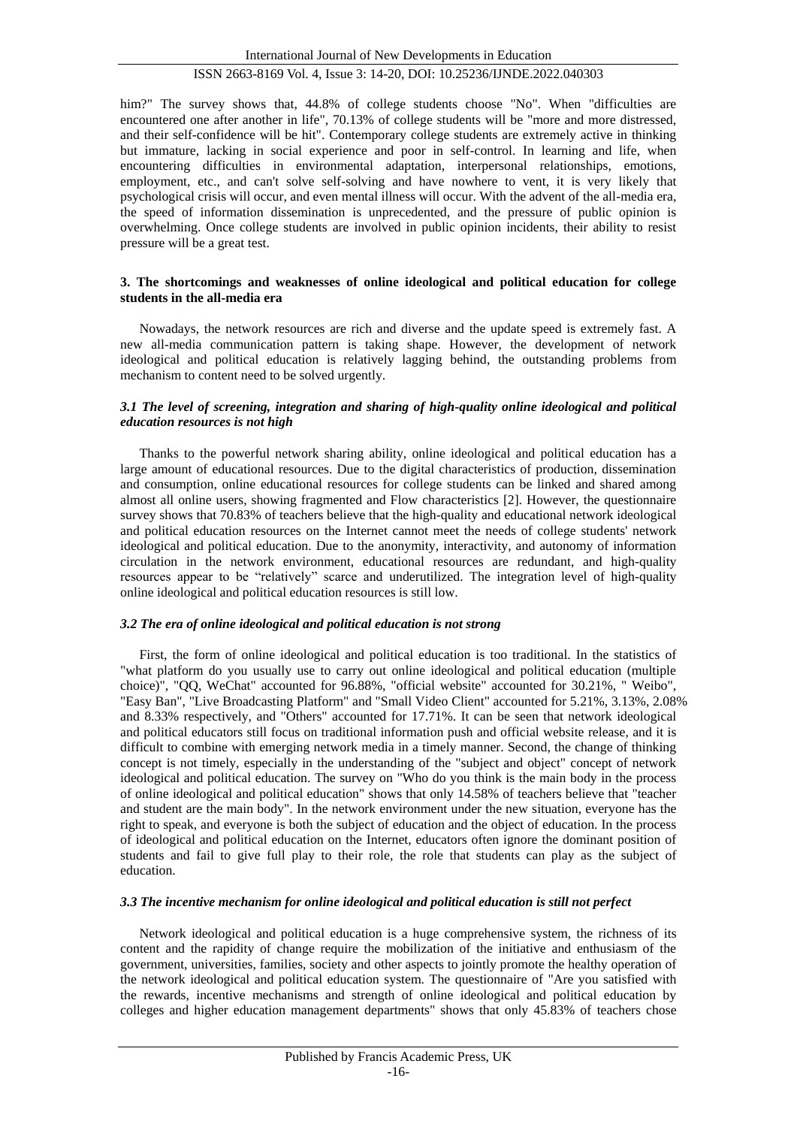him?" The survey shows that,  $44.8\%$  of college students choose "No". When "difficulties are encountered one after another in life", 70.13% of college students will be "more and more distressed, and their self-confidence will be hit". Contemporary college students are extremely active in thinking but immature, lacking in social experience and poor in self-control. In learning and life, when encountering difficulties in environmental adaptation, interpersonal relationships, emotions, employment, etc., and can't solve self-solving and have nowhere to vent, it is very likely that psychological crisis will occur, and even mental illness will occur. With the advent of the all-media era, the speed of information dissemination is unprecedented, and the pressure of public opinion is overwhelming. Once college students are involved in public opinion incidents, their ability to resist pressure will be a great test.

#### **3. The shortcomings and weaknesses of online ideological and political education for college students in the all-media era**

Nowadays, the network resources are rich and diverse and the update speed is extremely fast. A new all-media communication pattern is taking shape. However, the development of network ideological and political education is relatively lagging behind, the outstanding problems from mechanism to content need to be solved urgently.

## *3.1 The level of screening, integration and sharing of high-quality online ideological and political education resources is not high*

Thanks to the powerful network sharing ability, online ideological and political education has a large amount of educational resources. Due to the digital characteristics of production, dissemination and consumption, online educational resources for college students can be linked and shared among almost all online users, showing fragmented and Flow characteristics [2]. However, the questionnaire survey shows that 70.83% of teachers believe that the high-quality and educational network ideological and political education resources on the Internet cannot meet the needs of college students' network ideological and political education. Due to the anonymity, interactivity, and autonomy of information circulation in the network environment, educational resources are redundant, and high-quality resources appear to be "relatively" scarce and underutilized. The integration level of high-quality online ideological and political education resources is still low.

#### *3.2 The era of online ideological and political education is not strong*

First, the form of online ideological and political education is too traditional. In the statistics of "what platform do you usually use to carry out online ideological and political education (multiple choice)", "QQ, WeChat" accounted for 96.88%, "official website" accounted for 30.21%, " Weibo", "Easy Ban", "Live Broadcasting Platform" and "Small Video Client" accounted for 5.21%, 3.13%, 2.08% and 8.33% respectively, and "Others" accounted for 17.71%. It can be seen that network ideological and political educators still focus on traditional information push and official website release, and it is difficult to combine with emerging network media in a timely manner. Second, the change of thinking concept is not timely, especially in the understanding of the "subject and object" concept of network ideological and political education. The survey on "Who do you think is the main body in the process of online ideological and political education" shows that only 14.58% of teachers believe that "teacher and student are the main body". In the network environment under the new situation, everyone has the right to speak, and everyone is both the subject of education and the object of education. In the process of ideological and political education on the Internet, educators often ignore the dominant position of students and fail to give full play to their role, the role that students can play as the subject of education.

#### *3.3 The incentive mechanism for online ideological and political education is still not perfect*

Network ideological and political education is a huge comprehensive system, the richness of its content and the rapidity of change require the mobilization of the initiative and enthusiasm of the government, universities, families, society and other aspects to jointly promote the healthy operation of the network ideological and political education system. The questionnaire of "Are you satisfied with the rewards, incentive mechanisms and strength of online ideological and political education by colleges and higher education management departments" shows that only 45.83% of teachers chose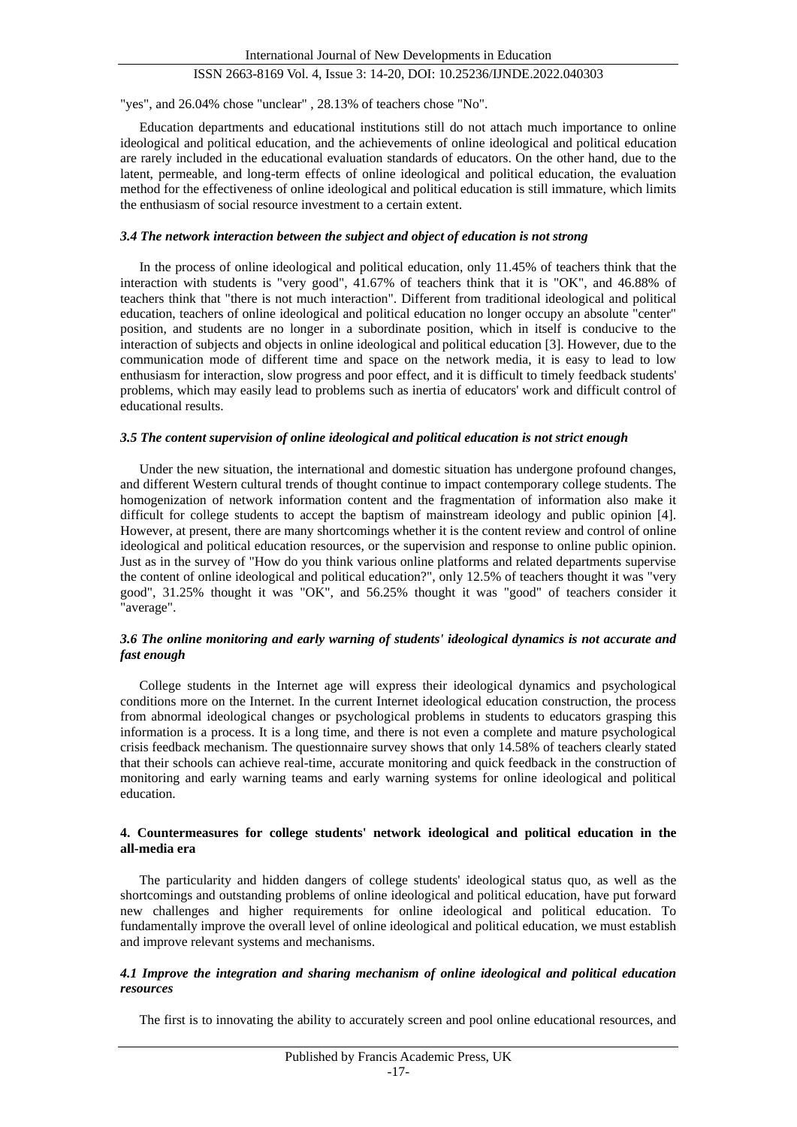"yes", and 26.04% chose "unclear" , 28.13% of teachers chose "No".

Education departments and educational institutions still do not attach much importance to online ideological and political education, and the achievements of online ideological and political education are rarely included in the educational evaluation standards of educators. On the other hand, due to the latent, permeable, and long-term effects of online ideological and political education, the evaluation method for the effectiveness of online ideological and political education is still immature, which limits the enthusiasm of social resource investment to a certain extent.

#### *3.4 The network interaction between the subject and object of education is not strong*

In the process of online ideological and political education, only 11.45% of teachers think that the interaction with students is "very good", 41.67% of teachers think that it is "OK", and 46.88% of teachers think that "there is not much interaction". Different from traditional ideological and political education, teachers of online ideological and political education no longer occupy an absolute "center" position, and students are no longer in a subordinate position, which in itself is conducive to the interaction of subjects and objects in online ideological and political education [3]. However, due to the communication mode of different time and space on the network media, it is easy to lead to low enthusiasm for interaction, slow progress and poor effect, and it is difficult to timely feedback students' problems, which may easily lead to problems such as inertia of educators' work and difficult control of educational results.

#### *3.5 The content supervision of online ideological and political education is not strict enough*

Under the new situation, the international and domestic situation has undergone profound changes, and different Western cultural trends of thought continue to impact contemporary college students. The homogenization of network information content and the fragmentation of information also make it difficult for college students to accept the baptism of mainstream ideology and public opinion [4]. However, at present, there are many shortcomings whether it is the content review and control of online ideological and political education resources, or the supervision and response to online public opinion. Just as in the survey of "How do you think various online platforms and related departments supervise the content of online ideological and political education?", only 12.5% of teachers thought it was "very good", 31.25% thought it was "OK", and 56.25% thought it was "good" of teachers consider it "average".

## *3.6 The online monitoring and early warning of students' ideological dynamics is not accurate and fast enough*

College students in the Internet age will express their ideological dynamics and psychological conditions more on the Internet. In the current Internet ideological education construction, the process from abnormal ideological changes or psychological problems in students to educators grasping this information is a process. It is a long time, and there is not even a complete and mature psychological crisis feedback mechanism. The questionnaire survey shows that only 14.58% of teachers clearly stated that their schools can achieve real-time, accurate monitoring and quick feedback in the construction of monitoring and early warning teams and early warning systems for online ideological and political education.

#### **4. Countermeasures for college students' network ideological and political education in the all-media era**

The particularity and hidden dangers of college students' ideological status quo, as well as the shortcomings and outstanding problems of online ideological and political education, have put forward new challenges and higher requirements for online ideological and political education. To fundamentally improve the overall level of online ideological and political education, we must establish and improve relevant systems and mechanisms.

## *4.1 Improve the integration and sharing mechanism of online ideological and political education resources*

The first is to innovating the ability to accurately screen and pool online educational resources, and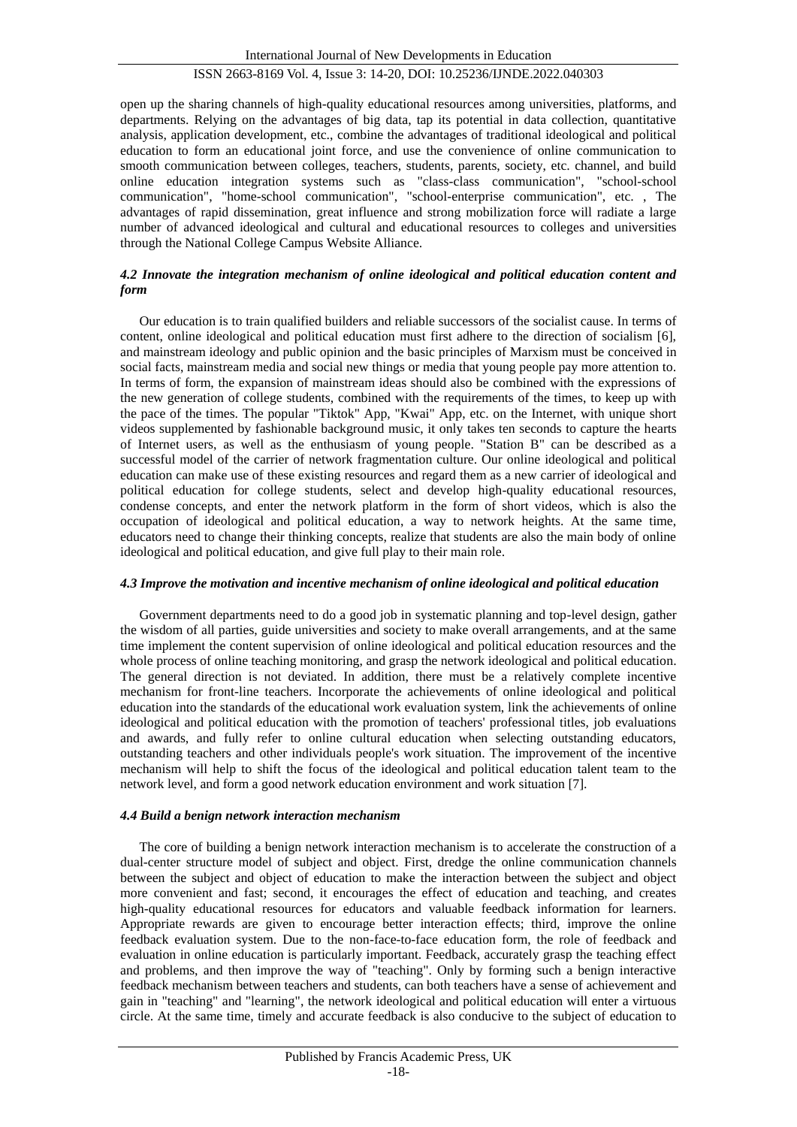open up the sharing channels of high-quality educational resources among universities, platforms, and departments. Relying on the advantages of big data, tap its potential in data collection, quantitative analysis, application development, etc., combine the advantages of traditional ideological and political education to form an educational joint force, and use the convenience of online communication to smooth communication between colleges, teachers, students, parents, society, etc. channel, and build online education integration systems such as "class-class communication", "school-school communication", "home-school communication", "school-enterprise communication", etc. , The advantages of rapid dissemination, great influence and strong mobilization force will radiate a large number of advanced ideological and cultural and educational resources to colleges and universities through the National College Campus Website Alliance.

## *4.2 Innovate the integration mechanism of online ideological and political education content and form*

Our education is to train qualified builders and reliable successors of the socialist cause. In terms of content, online ideological and political education must first adhere to the direction of socialism [6], and mainstream ideology and public opinion and the basic principles of Marxism must be conceived in social facts, mainstream media and social new things or media that young people pay more attention to. In terms of form, the expansion of mainstream ideas should also be combined with the expressions of the new generation of college students, combined with the requirements of the times, to keep up with the pace of the times. The popular "Tiktok" App, "Kwai" App, etc. on the Internet, with unique short videos supplemented by fashionable background music, it only takes ten seconds to capture the hearts of Internet users, as well as the enthusiasm of young people. "Station B" can be described as a successful model of the carrier of network fragmentation culture. Our online ideological and political education can make use of these existing resources and regard them as a new carrier of ideological and political education for college students, select and develop high-quality educational resources, condense concepts, and enter the network platform in the form of short videos, which is also the occupation of ideological and political education, a way to network heights. At the same time, educators need to change their thinking concepts, realize that students are also the main body of online ideological and political education, and give full play to their main role.

## *4.3 Improve the motivation and incentive mechanism of online ideological and political education*

Government departments need to do a good job in systematic planning and top-level design, gather the wisdom of all parties, guide universities and society to make overall arrangements, and at the same time implement the content supervision of online ideological and political education resources and the whole process of online teaching monitoring, and grasp the network ideological and political education. The general direction is not deviated. In addition, there must be a relatively complete incentive mechanism for front-line teachers. Incorporate the achievements of online ideological and political education into the standards of the educational work evaluation system, link the achievements of online ideological and political education with the promotion of teachers' professional titles, job evaluations and awards, and fully refer to online cultural education when selecting outstanding educators, outstanding teachers and other individuals people's work situation. The improvement of the incentive mechanism will help to shift the focus of the ideological and political education talent team to the network level, and form a good network education environment and work situation [7].

## *4.4 Build a benign network interaction mechanism*

The core of building a benign network interaction mechanism is to accelerate the construction of a dual-center structure model of subject and object. First, dredge the online communication channels between the subject and object of education to make the interaction between the subject and object more convenient and fast; second, it encourages the effect of education and teaching, and creates high-quality educational resources for educators and valuable feedback information for learners. Appropriate rewards are given to encourage better interaction effects; third, improve the online feedback evaluation system. Due to the non-face-to-face education form, the role of feedback and evaluation in online education is particularly important. Feedback, accurately grasp the teaching effect and problems, and then improve the way of "teaching". Only by forming such a benign interactive feedback mechanism between teachers and students, can both teachers have a sense of achievement and gain in "teaching" and "learning", the network ideological and political education will enter a virtuous circle. At the same time, timely and accurate feedback is also conducive to the subject of education to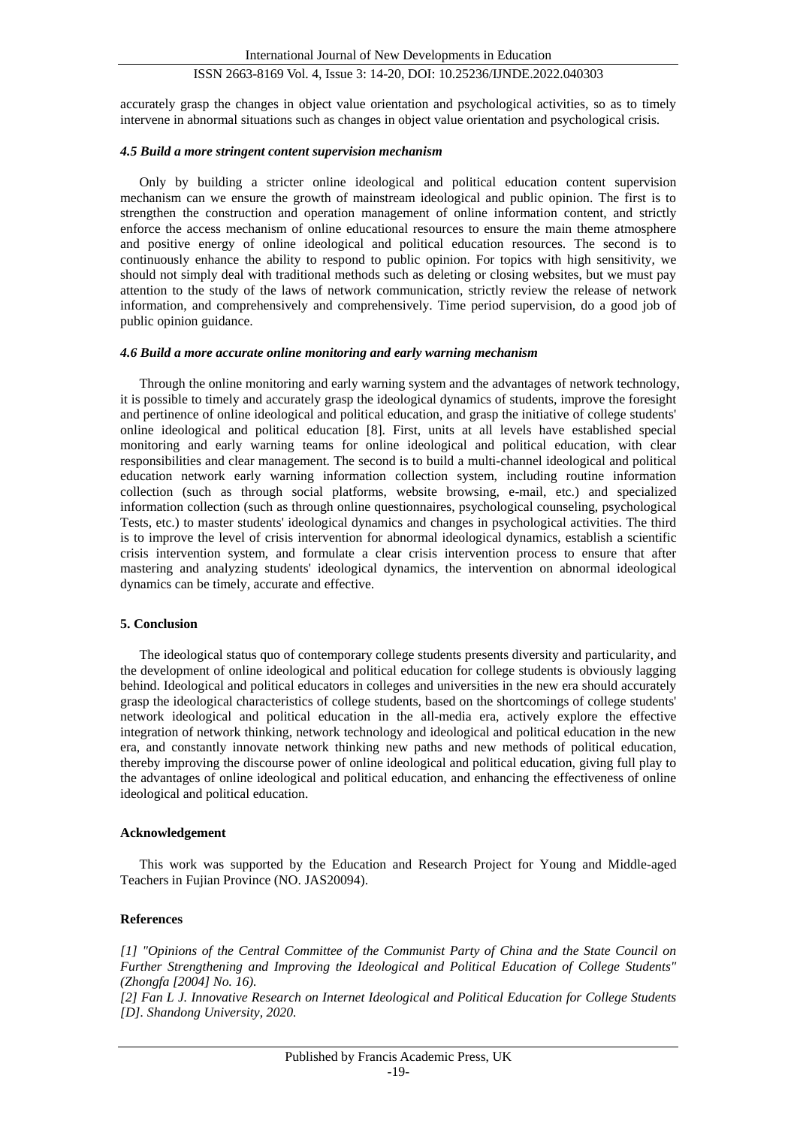accurately grasp the changes in object value orientation and psychological activities, so as to timely intervene in abnormal situations such as changes in object value orientation and psychological crisis.

#### *4.5 Build a more stringent content supervision mechanism*

Only by building a stricter online ideological and political education content supervision mechanism can we ensure the growth of mainstream ideological and public opinion. The first is to strengthen the construction and operation management of online information content, and strictly enforce the access mechanism of online educational resources to ensure the main theme atmosphere and positive energy of online ideological and political education resources. The second is to continuously enhance the ability to respond to public opinion. For topics with high sensitivity, we should not simply deal with traditional methods such as deleting or closing websites, but we must pay attention to the study of the laws of network communication, strictly review the release of network information, and comprehensively and comprehensively. Time period supervision, do a good job of public opinion guidance.

#### *4.6 Build a more accurate online monitoring and early warning mechanism*

Through the online monitoring and early warning system and the advantages of network technology, it is possible to timely and accurately grasp the ideological dynamics of students, improve the foresight and pertinence of online ideological and political education, and grasp the initiative of college students' online ideological and political education [8]. First, units at all levels have established special monitoring and early warning teams for online ideological and political education, with clear responsibilities and clear management. The second is to build a multi-channel ideological and political education network early warning information collection system, including routine information collection (such as through social platforms, website browsing, e-mail, etc.) and specialized information collection (such as through online questionnaires, psychological counseling, psychological Tests, etc.) to master students' ideological dynamics and changes in psychological activities. The third is to improve the level of crisis intervention for abnormal ideological dynamics, establish a scientific crisis intervention system, and formulate a clear crisis intervention process to ensure that after mastering and analyzing students' ideological dynamics, the intervention on abnormal ideological dynamics can be timely, accurate and effective.

#### **5. Conclusion**

The ideological status quo of contemporary college students presents diversity and particularity, and the development of online ideological and political education for college students is obviously lagging behind. Ideological and political educators in colleges and universities in the new era should accurately grasp the ideological characteristics of college students, based on the shortcomings of college students' network ideological and political education in the all-media era, actively explore the effective integration of network thinking, network technology and ideological and political education in the new era, and constantly innovate network thinking new paths and new methods of political education, thereby improving the discourse power of online ideological and political education, giving full play to the advantages of online ideological and political education, and enhancing the effectiveness of online ideological and political education.

#### **Acknowledgement**

This work was supported by the Education and Research Project for Young and Middle-aged Teachers in Fujian Province (NO. JAS20094).

#### **References**

*[1] "Opinions of the Central Committee of the Communist Party of China and the State Council on Further Strengthening and Improving the Ideological and Political Education of College Students" (Zhongfa [2004] No. 16).*

*[2] Fan L J. Innovative Research on Internet Ideological and Political Education for College Students [D]. Shandong University, 2020.*